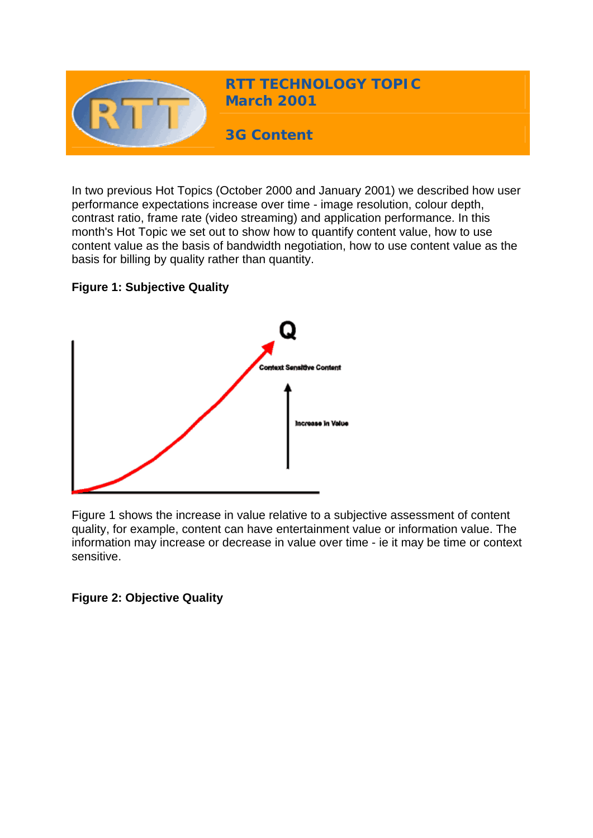

In two previous Hot Topics (October 2000 and January 2001) we described how user performance expectations increase over time - image resolution, colour depth, contrast ratio, frame rate (video streaming) and application performance. In this month's Hot Topic we set out to show how to quantify content value, how to use content value as the basis of bandwidth negotiation, how to use content value as the basis for billing by quality rather than quantity.

## **Figure 1: Subjective Quality**



Figure 1 shows the increase in value relative to a subjective assessment of content quality, for example, content can have entertainment value or information value. The information may increase or decrease in value over time - ie it may be time or context sensitive.

**Figure 2: Objective Quality**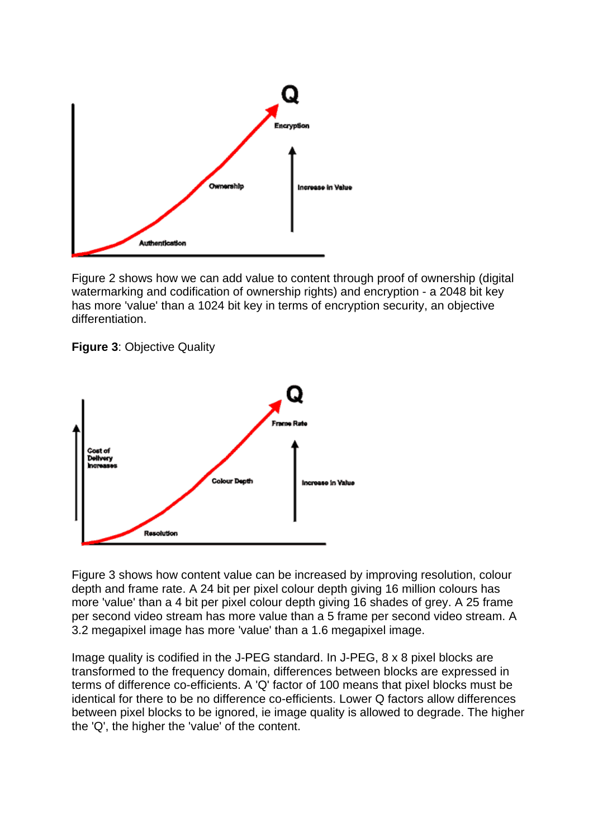

Figure 2 shows how we can add value to content through proof of ownership (digital watermarking and codification of ownership rights) and encryption - a 2048 bit key has more 'value' than a 1024 bit key in terms of encryption security, an objective differentiation.





Figure 3 shows how content value can be increased by improving resolution, colour depth and frame rate. A 24 bit per pixel colour depth giving 16 million colours has more 'value' than a 4 bit per pixel colour depth giving 16 shades of grey. A 25 frame per second video stream has more value than a 5 frame per second video stream. A 3.2 megapixel image has more 'value' than a 1.6 megapixel image.

Image quality is codified in the J-PEG standard. In J-PEG, 8 x 8 pixel blocks are transformed to the frequency domain, differences between blocks are expressed in terms of difference co-efficients. A 'Q' factor of 100 means that pixel blocks must be identical for there to be no difference co-efficients. Lower Q factors allow differences between pixel blocks to be ignored, ie image quality is allowed to degrade. The higher the 'Q', the higher the 'value' of the content.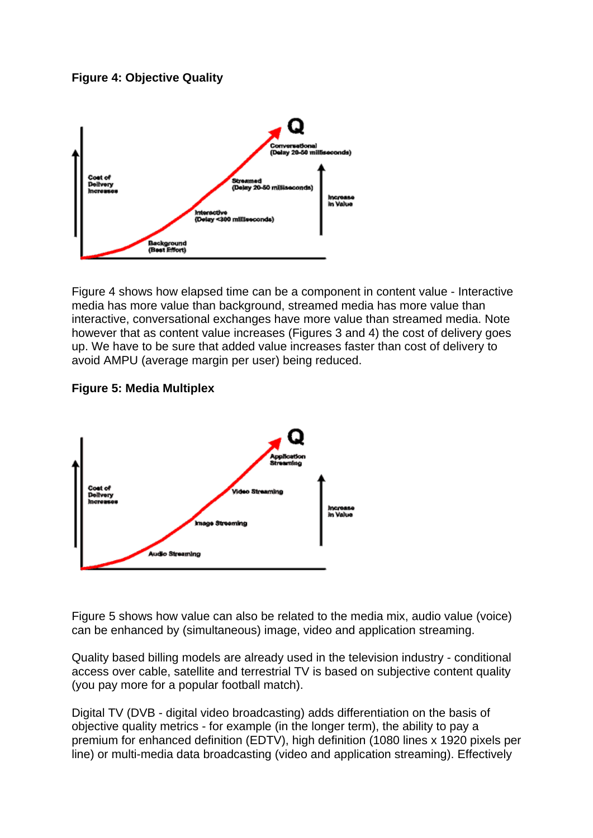**Figure 4: Objective Quality**



Figure 4 shows how elapsed time can be a component in content value - Interactive media has more value than background, streamed media has more value than interactive, conversational exchanges have more value than streamed media. Note however that as content value increases (Figures 3 and 4) the cost of delivery goes up. We have to be sure that added value increases faster than cost of delivery to avoid AMPU (average margin per user) being reduced.

## **Figure 5: Media Multiplex**



Figure 5 shows how value can also be related to the media mix, audio value (voice) can be enhanced by (simultaneous) image, video and application streaming.

Quality based billing models are already used in the television industry - conditional access over cable, satellite and terrestrial TV is based on subjective content quality (you pay more for a popular football match).

Digital TV (DVB - digital video broadcasting) adds differentiation on the basis of objective quality metrics - for example (in the longer term), the ability to pay a premium for enhanced definition (EDTV), high definition (1080 lines x 1920 pixels per line) or multi-media data broadcasting (video and application streaming). Effectively